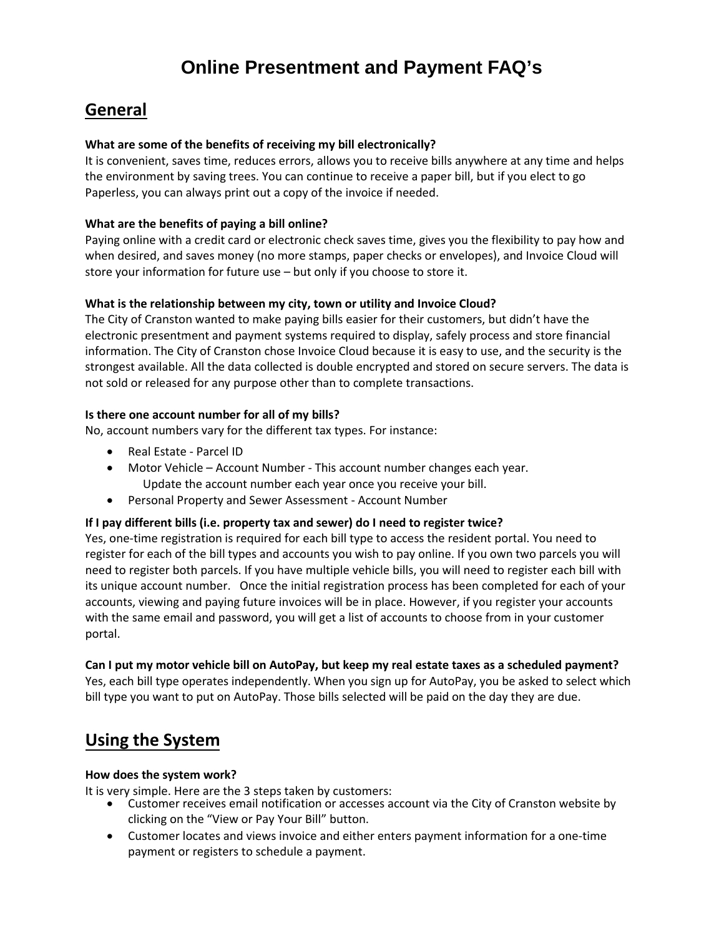# **General**

## **What are some of the benefits of receiving my bill electronically?**

It is convenient, saves time, reduces errors, allows you to receive bills anywhere at any time and helps the environment by saving trees. You can continue to receive a paper bill, but if you elect to go Paperless, you can always print out a copy of the invoice if needed.

### **What are the benefits of paying a bill online?**

Paying online with a credit card or electronic check saves time, gives you the flexibility to pay how and when desired, and saves money (no more stamps, paper checks or envelopes), and Invoice Cloud will store your information for future use – but only if you choose to store it.

#### **What is the relationship between my city, town or utility and Invoice Cloud?**

The City of Cranston wanted to make paying bills easier for their customers, but didn't have the electronic presentment and payment systems required to display, safely process and store financial information. The City of Cranston chose Invoice Cloud because it is easy to use, and the security is the strongest available. All the data collected is double encrypted and stored on secure servers. The data is not sold or released for any purpose other than to complete transactions.

#### **Is there one account number for all of my bills?**

No, account numbers vary for the different tax types. For instance:

- Real Estate Parcel ID
- Motor Vehicle Account Number This account number changes each year. Update the account number each year once you receive your bill.
- Personal Property and Sewer Assessment Account Number

#### **If I pay different bills (i.e. property tax and sewer) do I need to register twice?**

Yes, one-time registration is required for each bill type to access the resident portal. You need to register for each of the bill types and accounts you wish to pay online. If you own two parcels you will need to register both parcels. If you have multiple vehicle bills, you will need to register each bill with its unique account number. Once the initial registration process has been completed for each of your accounts, viewing and paying future invoices will be in place. However, if you register your accounts with the same email and password, you will get a list of accounts to choose from in your customer portal.

#### **Can I put my motor vehicle bill on AutoPay, but keep my real estate taxes as a scheduled payment?**

Yes, each bill type operates independently. When you sign up for AutoPay, you be asked to select which bill type you want to put on AutoPay. Those bills selected will be paid on the day they are due.

# **Using the System**

#### **How does the system work?**

It is very simple. Here are the 3 steps taken by customers:

- Customer receives email notification or accesses account via the City of Cranston website by clicking on the "View or Pay Your Bill" button.
- Customer locates and views invoice and either enters payment information for a one-time payment or registers to schedule a payment.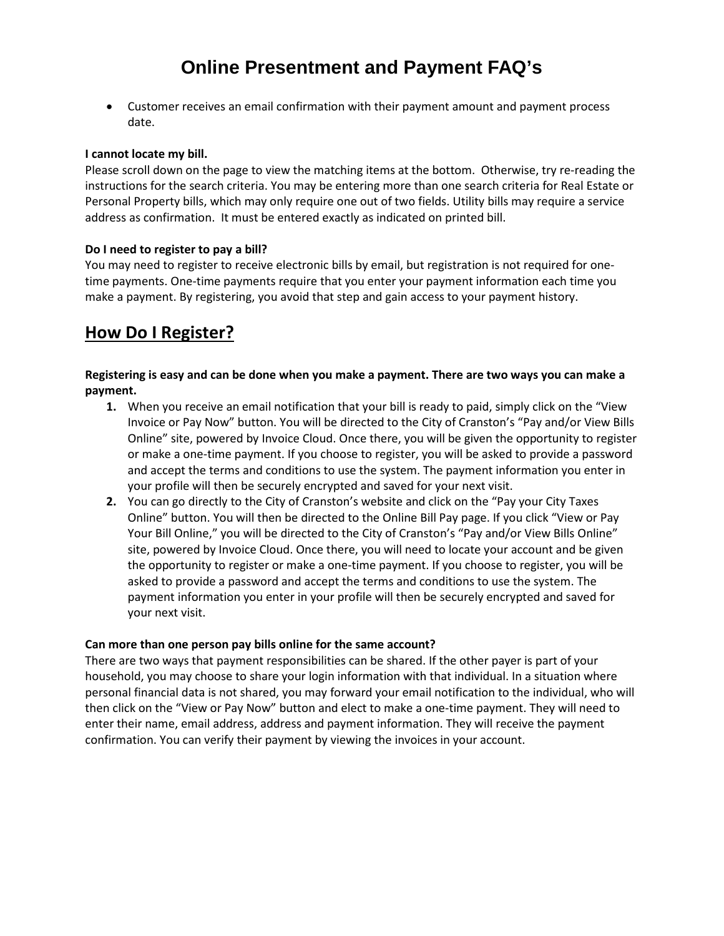• Customer receives an email confirmation with their payment amount and payment process date.

#### **I cannot locate my bill.**

Please scroll down on the page to view the matching items at the bottom. Otherwise, try re-reading the instructions for the search criteria. You may be entering more than one search criteria for Real Estate or Personal Property bills, which may only require one out of two fields. Utility bills may require a service address as confirmation. It must be entered exactly as indicated on printed bill.

#### **Do I need to register to pay a bill?**

You may need to register to receive electronic bills by email, but registration is not required for onetime payments. One-time payments require that you enter your payment information each time you make a payment. By registering, you avoid that step and gain access to your payment history.

# **How Do I Register?**

### **Registering is easy and can be done when you make a payment. There are two ways you can make a payment.**

- **1.** When you receive an email notification that your bill is ready to paid, simply click on the "View Invoice or Pay Now" button. You will be directed to the City of Cranston's "Pay and/or View Bills Online" site, powered by Invoice Cloud. Once there, you will be given the opportunity to register or make a one-time payment. If you choose to register, you will be asked to provide a password and accept the terms and conditions to use the system. The payment information you enter in your profile will then be securely encrypted and saved for your next visit.
- **2.** You can go directly to the City of Cranston's website and click on the "Pay your City Taxes Online" button. You will then be directed to the Online Bill Pay page. If you click "View or Pay Your Bill Online," you will be directed to the City of Cranston's "Pay and/or View Bills Online" site, powered by Invoice Cloud. Once there, you will need to locate your account and be given the opportunity to register or make a one-time payment. If you choose to register, you will be asked to provide a password and accept the terms and conditions to use the system. The payment information you enter in your profile will then be securely encrypted and saved for your next visit.

#### **Can more than one person pay bills online for the same account?**

There are two ways that payment responsibilities can be shared. If the other payer is part of your household, you may choose to share your login information with that individual. In a situation where personal financial data is not shared, you may forward your email notification to the individual, who will then click on the "View or Pay Now" button and elect to make a one-time payment. They will need to enter their name, email address, address and payment information. They will receive the payment confirmation. You can verify their payment by viewing the invoices in your account.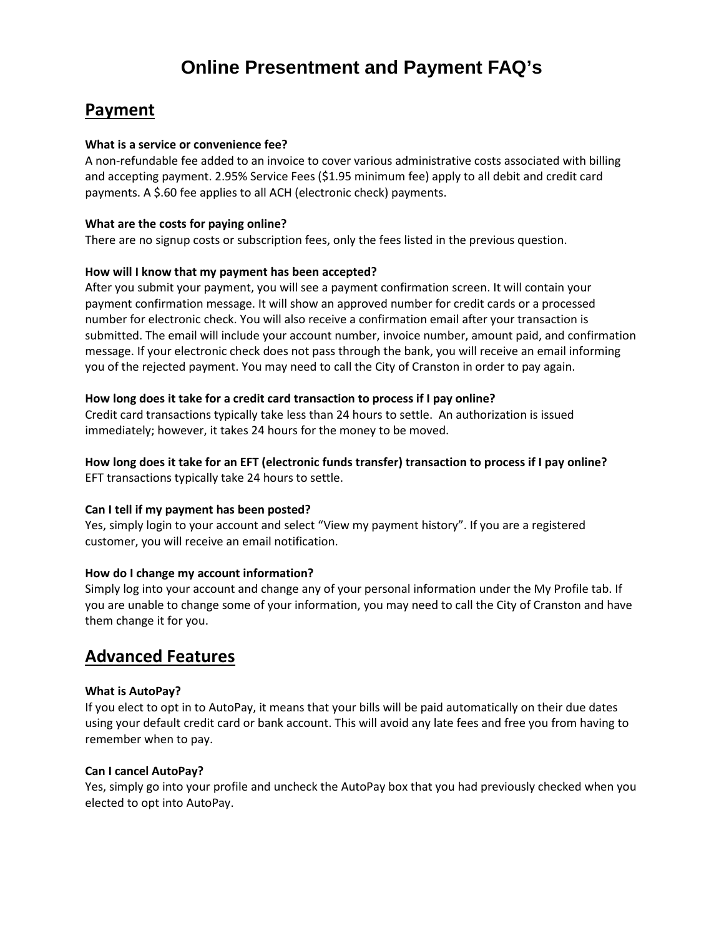# **Payment**

#### **What is a service or convenience fee?**

A non-refundable fee added to an invoice to cover various administrative costs associated with billing and accepting payment. 2.95% Service Fees (\$1.95 minimum fee) apply to all debit and credit card payments. A \$.60 fee applies to all ACH (electronic check) payments.

### **What are the costs for paying online?**

There are no signup costs or subscription fees, only the fees listed in the previous question.

## **How will I know that my payment has been accepted?**

After you submit your payment, you will see a payment confirmation screen. It will contain your payment confirmation message. It will show an approved number for credit cards or a processed number for electronic check. You will also receive a confirmation email after your transaction is submitted. The email will include your account number, invoice number, amount paid, and confirmation message. If your electronic check does not pass through the bank, you will receive an email informing you of the rejected payment. You may need to call the City of Cranston in order to pay again.

## **How long does it take for a credit card transaction to process if I pay online?**

Credit card transactions typically take less than 24 hours to settle. An authorization is issued immediately; however, it takes 24 hours for the money to be moved.

### **How long does it take for an EFT (electronic funds transfer) transaction to process if I pay online?** EFT transactions typically take 24 hours to settle.

#### **Can I tell if my payment has been posted?**

Yes, simply login to your account and select "View my payment history". If you are a registered customer, you will receive an email notification.

## **How do I change my account information?**

Simply log into your account and change any of your personal information under the My Profile tab. If you are unable to change some of your information, you may need to call the City of Cranston and have them change it for you.

# **Advanced Features**

## **What is AutoPay?**

If you elect to opt in to AutoPay, it means that your bills will be paid automatically on their due dates using your default credit card or bank account. This will avoid any late fees and free you from having to remember when to pay.

#### **Can I cancel AutoPay?**

Yes, simply go into your profile and uncheck the AutoPay box that you had previously checked when you elected to opt into AutoPay.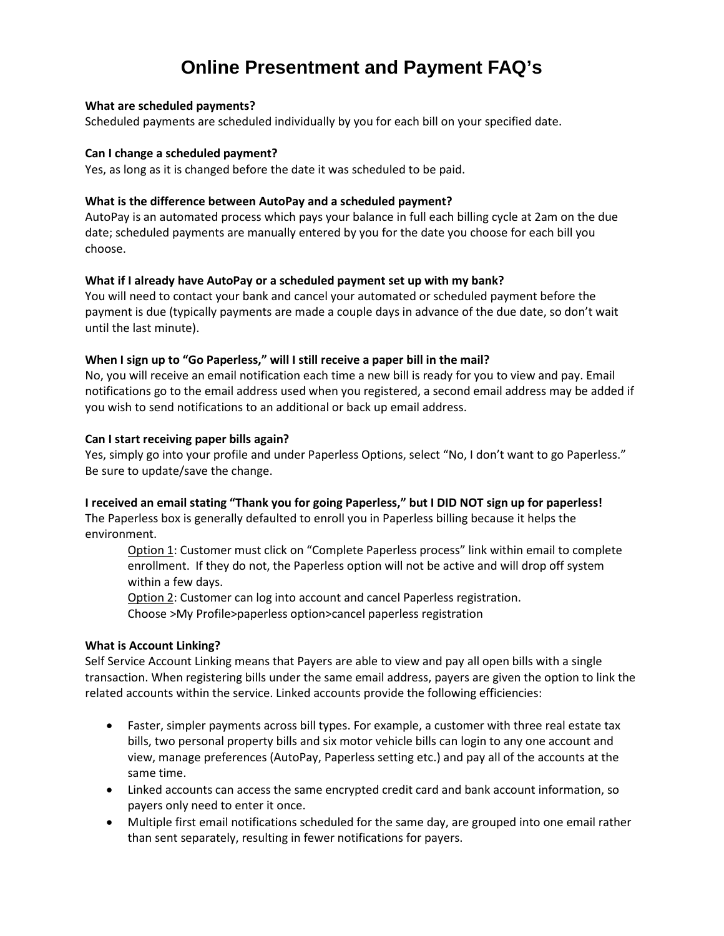#### **What are scheduled payments?**

Scheduled payments are scheduled individually by you for each bill on your specified date.

#### **Can I change a scheduled payment?**

Yes, as long as it is changed before the date it was scheduled to be paid.

#### **What is the difference between AutoPay and a scheduled payment?**

AutoPay is an automated process which pays your balance in full each billing cycle at 2am on the due date; scheduled payments are manually entered by you for the date you choose for each bill you choose.

#### **What if I already have AutoPay or a scheduled payment set up with my bank?**

You will need to contact your bank and cancel your automated or scheduled payment before the payment is due (typically payments are made a couple days in advance of the due date, so don't wait until the last minute).

#### **When I sign up to "Go Paperless," will I still receive a paper bill in the mail?**

No, you will receive an email notification each time a new bill is ready for you to view and pay. Email notifications go to the email address used when you registered, a second email address may be added if you wish to send notifications to an additional or back up email address.

#### **Can I start receiving paper bills again?**

Yes, simply go into your profile and under Paperless Options, select "No, I don't want to go Paperless." Be sure to update/save the change.

#### **I received an email stating "Thank you for going Paperless," but I DID NOT sign up for paperless!**

The Paperless box is generally defaulted to enroll you in Paperless billing because it helps the environment.

Option 1: Customer must click on "Complete Paperless process" link within email to complete enrollment. If they do not, the Paperless option will not be active and will drop off system within a few days.

Option 2: Customer can log into account and cancel Paperless registration.

Choose >My Profile>paperless option>cancel paperless registration

#### **What is Account Linking?**

Self Service Account Linking means that Payers are able to view and pay all open bills with a single transaction. When registering bills under the same email address, payers are given the option to link the related accounts within the service. Linked accounts provide the following efficiencies:

- Faster, simpler payments across bill types. For example, a customer with three real estate tax bills, two personal property bills and six motor vehicle bills can login to any one account and view, manage preferences (AutoPay, Paperless setting etc.) and pay all of the accounts at the same time.
- Linked accounts can access the same encrypted credit card and bank account information, so payers only need to enter it once.
- Multiple first email notifications scheduled for the same day, are grouped into one email rather than sent separately, resulting in fewer notifications for payers.